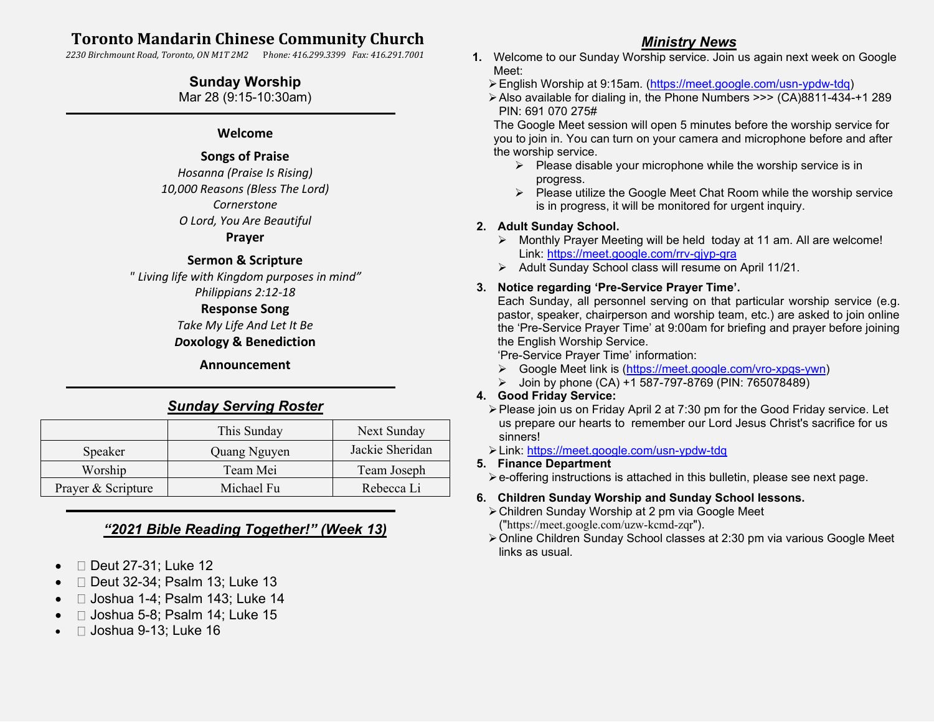# **Toronto Mandarin Chinese Community Church**

*2230 Birchmount Road, Toronto, ON M1T 2M2* P*hone: 416.299.3399 Fax: 416.291.7001*

## **Sunday Worship**

Mar 28 (9:15-10:30am)

### **Welcome**

## **Songs of Praise**

*Hosanna (Praise Is Rising) 10,000 Reasons (Bless The Lord) Cornerstone O Lord, You Are Beautiful*

#### **Prayer**

### **Sermon & Scripture**

*" Living life with Kingdom purposes in mind" Philippians 2:12-18*

### **Response Song**

*Take My Life And Let It Be D***oxology & Benediction**

> **Announcement** ֦

# *Sunday Serving Roster*

|                    | This Sunday  | Next Sunday     |
|--------------------|--------------|-----------------|
| Speaker            | Quang Nguyen | Jackie Sheridan |
| Worship            | Team Mei     | Team Joseph     |
| Prayer & Scripture | Michael Fu   | Rebecca Li      |

# *"2021 Bible Reading Together!" (Week 13)*

- $\bullet$   $\Box$  Deut 27-31; Luke 12
- □ Deut 32-34; Psalm 13; Luke 13
- $\bullet$   $\Box$  Joshua 1-4; Psalm 143; Luke 14
- $\Box$  Joshua 5-8; Psalm 14; Luke 15
- $\Box$  Joshua 9-13; Luke 16

## *Ministry News*

- **1.** Welcome to our Sunday Worship service. Join us again next week on Google Meet:
	- ➢English Worship at 9:15am. [\(https://meet.google.com/usn-ypdw-tdq\)](https://meet.google.com/usn-ypdw-tdq)
	- ➢Also available for dialing in, the Phone Numbers >>> (CA)8811-434-+1 289 PIN: 691 070 275#

The Google Meet session will open 5 minutes before the worship service for you to join in. You can turn on your camera and microphone before and after the worship service.

- $\triangleright$  Please disable your microphone while the worship service is in progress.
- ➢ Please utilize the Google Meet Chat Room while the worship service is in progress, it will be monitored for urgent inquiry.

### **2. Adult Sunday School.**

- ➢ Monthly Prayer Meeting will be held today at 11 am. All are welcome! Link:<https://meet.google.com/rrv-gjyp-gra>
- ➢ Adult Sunday School class will resume on April 11/21.

### **3. Notice regarding 'Pre-Service Prayer Time'.**

Each Sunday, all personnel serving on that particular worship service (e.g. pastor, speaker, chairperson and worship team, etc.) are asked to join online the 'Pre-Service Prayer Time' at 9:00am for briefing and prayer before joining the English Worship Service.

'Pre-Service Prayer Time' information:

- ➢ Google Meet link is [\(https://meet.google.com/vro-xpgs-ywn\)](https://meet.google.com/vro-xpgs-ywn)
- ➢ Join by phone (CA) +1 587-797-8769 (PIN: 765078489)

### **4. Good Friday Service:**

- ➢Please join us on Friday April 2 at 7:30 pm for the Good Friday service. Let us prepare our hearts to remember our Lord Jesus Christ's sacrifice for us sinners!
- ➢Link:<https://meet.google.com/usn-ypdw-tdq>

### **5. Finance Department**

➢e-offering instructions is attached in this bulletin, please see next page.

### **6. Children Sunday Worship and Sunday School lessons.**

- ➢Children Sunday Worship at 2 pm via Google Meet ("<https://meet.google.com/uzw-kcmd-zqr>").
- ➢Online Children Sunday School classes at 2:30 pm via various Google Meet links as usual.